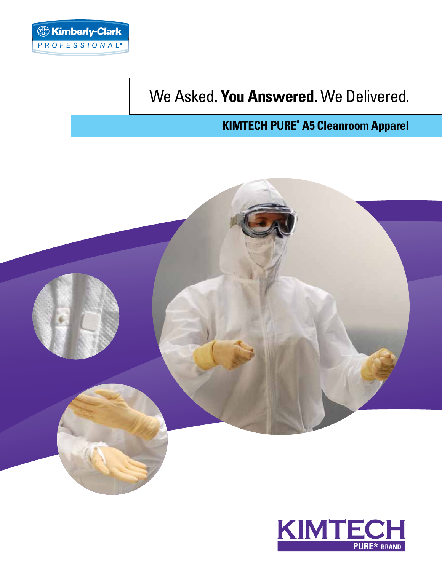

# We Asked. **You Answered.** We Delivered.

## **KIMTECH Pure\* A5 Cleanroom Apparel**



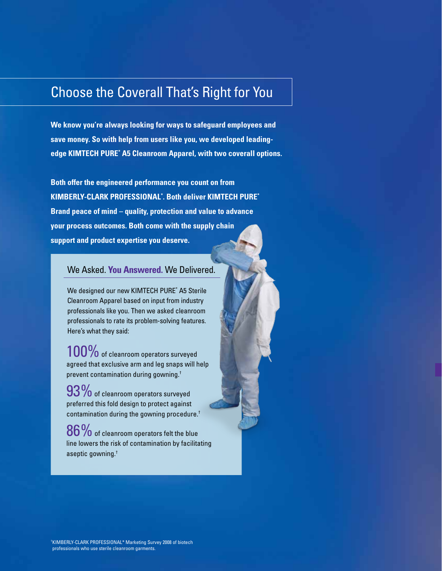## Choose the Coverall That's Right for You

**We know you're always looking for ways to safeguard employees and save money. So with help from users like you, we developed leadingedge KIMTECH PURE\* A5 Cleanroom Apparel, with two coverall options.**

**Both offer the engineered performance you count on from Kimberly-Clark Professional\* . Both deliver KIMTECH PURE\* Brand peace of mind – quality, protection and value to advance your process outcomes. Both come with the supply chain support and product expertise you deserve.**

## We Asked. **You Answered.** We Delivered.

We designed our new KIMTECH PURE\* A5 Sterile Cleanroom Apparel based on input from industry professionals like you. Then we asked cleanroom professionals to rate its problem-solving features. Here's what they said:

 $100\%$  of cleanroom operators surveyed agreed that exclusive arm and leg snaps will help prevent contamination during gowning.†

 $93\%$  of cleanroom operators surveyed preferred this fold design to protect against contamination during the gowning procedure.†

 $86\%$  of cleanroom operators felt the blue line lowers the risk of contamination by facilitating aseptic gowning.†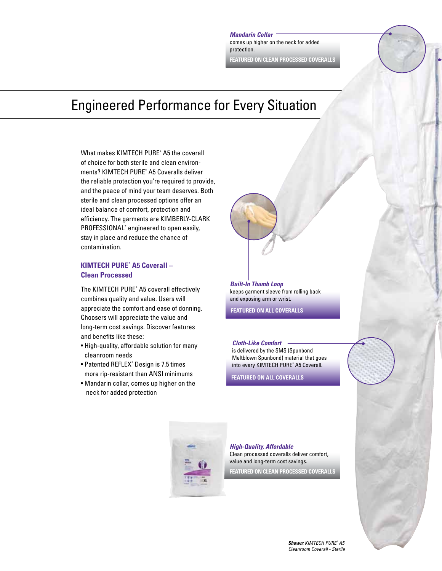*Mandarin Collar* comes up higher on the neck for added protection.

**FEATURED ON CLEAN PROCESSED COVERALLS**

## Engineered Performance for Every Situation

What makes KIMTECH PURE\* A5 the coverall of choice for both sterile and clean environments? KIMTECH PURE\* A5 Coveralls deliver the reliable protection you're required to provide, and the peace of mind your team deserves. Both sterile and clean processed options offer an ideal balance of comfort, protection and efficiency. The garments are KIMBERLY-CLARK PROFESSIONAL<sup>\*</sup> engineered to open easily, stay in place and reduce the chance of contamination.

### **KIMTECH PURE\* A5 Coverall – Clean Processed**

The KIMTECH PURE\* A5 coverall effectively combines quality and value. Users will appreciate the comfort and ease of donning. Choosers will appreciate the value and long-term cost savings. Discover features and benefits like these:

- High-quality, affordable solution for many cleanroom needs
- Patented REFLEX\* Design is 7.5 times more rip-resistant than ANSI minimums
- Mandarin collar, comes up higher on the neck for added protection

*Built-In Thumb Loop* keeps garment sleeve from rolling back and exposing arm or wrist.

**FEATURED ON ALL COVERALLS**

*Cloth-Like Comfort*  is delivered by the SMS (Spunbond Meltblown Spunbond) material that goes into every KIMTECH PURE\* A5 Coverall.

**FEATURED ON ALL COVERALLS**



#### *High-Quality, Affordable*

Clean processed coveralls deliver comfort, value and long-term cost savings.

**FEATURED ON CLEAN PROCESSED COVERALLS**

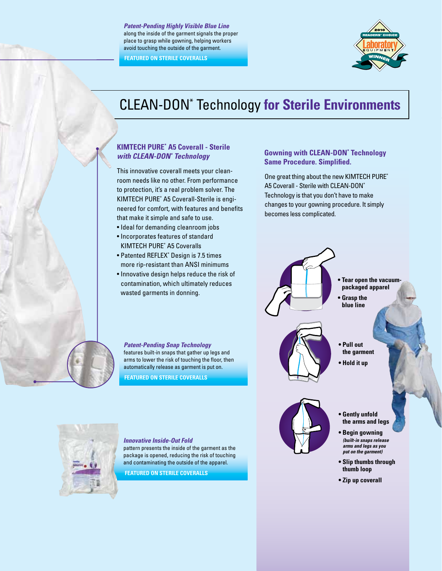*Patent-Pending Highly Visible Blue Line* along the inside of the garment signals the proper place to grasp while gowning, helping workers avoid touching the outside of the garment.

**FEATURED ON STERILE COVERALLS**



# CLEAN-DON\* Technology **for Sterile Environments**

## **KIMTECH PURE\* A5 Coverall - Sterile**  *with CLEAN-DON\* Technology*

This innovative coverall meets your cleanroom needs like no other. From performance to protection, it's a real problem solver. The KIMTECH PURE\* A5 Coverall-Sterile is engineered for comfort, with features and benefits that make it simple and safe to use.

- Ideal for demanding cleanroom jobs
- Incorporates features of standard KIMTECH PURE\* A5 Coveralls
- Patented REFLEX\* Design is 7.5 times more rip-resistant than ANSI minimums
- Innovative design helps reduce the risk of contamination, which ultimately reduces wasted garments in donning.

*Patent-Pending Snap Technology*  features built-in snaps that gather up legs and arms to lower the risk of touching the floor, then automatically release as garment is put on. **FEATURED ON STERILE COVERALLS**

### **Gowning with CLEAN-DON\* Technology Same Procedure. Simplified.**

One great thing about the new KIMTECH PURE\* A5 Coverall - Sterile with CLEAN-DON\* Technology is that you don't have to make changes to your gowning procedure. It simply becomes less complicated.





*Innovative Inside-Out Fold* 

pattern presents the inside of the garment as the package is opened, reducing the risk of touching and contaminating the outside of the apparel.

**FEATURED ON STERILE COVERALLS**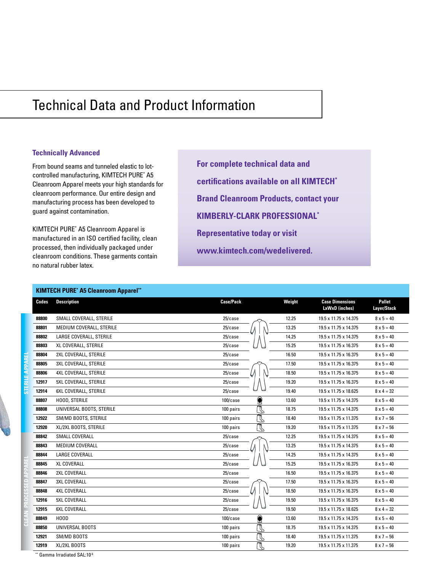# Technical Data and Product Information

| <b>Technically Advanced</b><br>From bound seams and tunneled elastic to lot-<br>controlled manufacturing, KIMTECH PURE* A5<br>Cleanroom Apparel meets your high standards for<br>cleanroom performance. Our entire design and<br>manufacturing process has been developed to<br>guard against contamination.<br>KIMTECH PURE* A5 Cleanroom Apparel is<br>manufactured in an ISO certified facility, clean<br>processed, then individually packaged under<br>cleanroom conditions. These garments contain<br>no natural rubber latex. |                                                                   | For complete technical data and<br>certifications available on all KIMTECH <sup>*</sup><br><b>Brand Cleanroom Products, contact your</b><br><b>KIMBERLY-CLARK PROFESSIONAL*</b><br><b>Representative today or visit</b><br>www.kimtech.com/wedelivered. |        |                        |                    |
|--------------------------------------------------------------------------------------------------------------------------------------------------------------------------------------------------------------------------------------------------------------------------------------------------------------------------------------------------------------------------------------------------------------------------------------------------------------------------------------------------------------------------------------|-------------------------------------------------------------------|---------------------------------------------------------------------------------------------------------------------------------------------------------------------------------------------------------------------------------------------------------|--------|------------------------|--------------------|
| Codes                                                                                                                                                                                                                                                                                                                                                                                                                                                                                                                                | <b>KIMTECH PURE* A5 Cleanroom Apparel**</b><br><b>Description</b> | <b>Case/Pack</b>                                                                                                                                                                                                                                        | Weight | <b>Case Dimensions</b> | <b>Pallet</b>      |
|                                                                                                                                                                                                                                                                                                                                                                                                                                                                                                                                      |                                                                   |                                                                                                                                                                                                                                                         |        | LxWxD (inches)         | <b>Layer/Stack</b> |
| 88800                                                                                                                                                                                                                                                                                                                                                                                                                                                                                                                                | SMALL COVERALL, STERILE                                           | 25/case                                                                                                                                                                                                                                                 | 12.25  | 19.5 x 11.75 x 14.375  | $8 \times 5 = 40$  |
| 88801                                                                                                                                                                                                                                                                                                                                                                                                                                                                                                                                | MEDIUM COVERALL, STERILE                                          | $25/c$ ase                                                                                                                                                                                                                                              | 13.25  | 19.5 x 11.75 x 14.375  | $8 \times 5 = 40$  |
| 88802                                                                                                                                                                                                                                                                                                                                                                                                                                                                                                                                | LARGE COVERALL, STERILE                                           | 25/case                                                                                                                                                                                                                                                 | 14.25  | 19.5 x 11.75 x 14.375  | $8 \times 5 = 40$  |
| 88803                                                                                                                                                                                                                                                                                                                                                                                                                                                                                                                                | XL COVERALL, STERILE                                              | 25/case                                                                                                                                                                                                                                                 | 15.25  | 19.5 x 11.75 x 16.375  | $8 \times 5 = 40$  |
| 88804                                                                                                                                                                                                                                                                                                                                                                                                                                                                                                                                | 2XL COVERALL, STERILE                                             | 25/case                                                                                                                                                                                                                                                 | 16.50  | 19.5 x 11.75 x 16.375  | $8 \times 5 = 40$  |
| 88805                                                                                                                                                                                                                                                                                                                                                                                                                                                                                                                                | 3XL COVERALL, STERILE                                             | 25/case                                                                                                                                                                                                                                                 | 17.50  | 19.5 x 11.75 x 16.375  | $8 \times 5 = 40$  |
| 88806                                                                                                                                                                                                                                                                                                                                                                                                                                                                                                                                | 4XL COVERALL, STERILE                                             | 25/case                                                                                                                                                                                                                                                 | 18.50  | 19.5 x 11.75 x 16.375  | $8 \times 5 = 40$  |
| 12917                                                                                                                                                                                                                                                                                                                                                                                                                                                                                                                                | 5XL COVERALL, STERILE                                             | 25/case                                                                                                                                                                                                                                                 | 19.20  | 19.5 x 11.75 x 16.375  | $8 \times 5 = 40$  |
| 12914                                                                                                                                                                                                                                                                                                                                                                                                                                                                                                                                | 6XL COVERALL, STERILE                                             | $25/c$ ase                                                                                                                                                                                                                                              | 19.40  | 19.5 x 11.75 x 18.625  | $8 \times 4 = 32$  |
| 88807                                                                                                                                                                                                                                                                                                                                                                                                                                                                                                                                | HOOD, STERILE                                                     | 0<br>$100/c$ ase                                                                                                                                                                                                                                        | 13.60  | 19.5 x 11.75 x 14.375  | $8 \times 5 = 40$  |
| 88808                                                                                                                                                                                                                                                                                                                                                                                                                                                                                                                                | UNIVERSAL BOOTS, STERILE                                          | $\mathbb{Q}$<br>100 pairs                                                                                                                                                                                                                               | 18.75  | 19.5 x 11.75 x 14.375  | $8 \times 5 = 40$  |
| 12922                                                                                                                                                                                                                                                                                                                                                                                                                                                                                                                                | SM/MD BOOTS, STERILE                                              | $\mathbb Z$<br>100 pairs                                                                                                                                                                                                                                | 18.40  | 19.5 x 11.75 x 11.375  | $8 \times 7 = 56$  |
| 12920                                                                                                                                                                                                                                                                                                                                                                                                                                                                                                                                | XL/2XL BOOTS, STERILE                                             | $\mathbb{R}$<br>100 pairs                                                                                                                                                                                                                               | 19.20  | 19.5 x 11.75 x 11.375  | $8 \times 7 = 56$  |
| 88842                                                                                                                                                                                                                                                                                                                                                                                                                                                                                                                                | <b>SMALL COVERALL</b>                                             | 25/case                                                                                                                                                                                                                                                 | 12.25  | 19.5 x 11.75 x 14.375  | $8 \times 5 = 40$  |
| 88843                                                                                                                                                                                                                                                                                                                                                                                                                                                                                                                                | MEDIUM COVERALL                                                   | 25/case                                                                                                                                                                                                                                                 | 13.25  | 19.5 x 11.75 x 14.375  | $8 \times 5 = 40$  |
| 88844                                                                                                                                                                                                                                                                                                                                                                                                                                                                                                                                | <b>LARGE COVERALL</b>                                             | $25/c$ ase                                                                                                                                                                                                                                              | 14.25  | 19.5 x 11.75 x 14.375  | $8 \times 5 = 40$  |
| 88845                                                                                                                                                                                                                                                                                                                                                                                                                                                                                                                                | <b>XL COVERALL</b>                                                | 25/case                                                                                                                                                                                                                                                 | 15.25  | 19.5 x 11.75 x 16.375  | $8 \times 5 = 40$  |
| 88846                                                                                                                                                                                                                                                                                                                                                                                                                                                                                                                                | 2XL COVERALL                                                      | 25/case                                                                                                                                                                                                                                                 | 16.50  | 19.5 x 11.75 x 16.375  | $8 \times 5 = 40$  |
| 88847                                                                                                                                                                                                                                                                                                                                                                                                                                                                                                                                | <b>3XL COVERALL</b>                                               | 25/case                                                                                                                                                                                                                                                 | 17.50  | 19.5 x 11.75 x 16.375  | $8 \times 5 = 40$  |
| 88848                                                                                                                                                                                                                                                                                                                                                                                                                                                                                                                                | <b>4XL COVERALL</b>                                               | 25/case                                                                                                                                                                                                                                                 | 18.50  | 19.5 x 11.75 x 16.375  | $8 \times 5 = 40$  |
| 12916                                                                                                                                                                                                                                                                                                                                                                                                                                                                                                                                | <b>5XL COVERALL</b>                                               | 25/case                                                                                                                                                                                                                                                 | 19.50  | 19.5 x 11.75 x 16.375  | $8 \times 5 = 40$  |
| 12915                                                                                                                                                                                                                                                                                                                                                                                                                                                                                                                                | 6XL COVERALL                                                      | 25/case                                                                                                                                                                                                                                                 | 19.50  | 19.5 x 11.75 x 18.625  | $8 \times 4 = 32$  |
| 88849                                                                                                                                                                                                                                                                                                                                                                                                                                                                                                                                | HOOD                                                              | $100/c$ ase<br>۷                                                                                                                                                                                                                                        | 13.60  | 19.5 x 11.75 x 14.375  | $8 \times 5 = 40$  |
| 88850                                                                                                                                                                                                                                                                                                                                                                                                                                                                                                                                | UNIVERSAL BOOTS                                                   | $\mathbb {C}$<br>100 pairs                                                                                                                                                                                                                              | 18.75  | 19.5 x 11.75 x 14.375  | $8 \times 5 = 40$  |
| 12921                                                                                                                                                                                                                                                                                                                                                                                                                                                                                                                                | SM/MD BOOTS                                                       | $\mathbb {C}$<br>100 pairs                                                                                                                                                                                                                              | 18.40  | 19.5 x 11.75 x 11.375  | $8 \times 7 = 56$  |
| 12919                                                                                                                                                                                                                                                                                                                                                                                                                                                                                                                                | XL/2XL BOOTS                                                      | $\mathbb Z$<br>100 pairs                                                                                                                                                                                                                                | 19.20  | 19.5 x 11.75 x 11.375  | $8 \times 7 = 56$  |